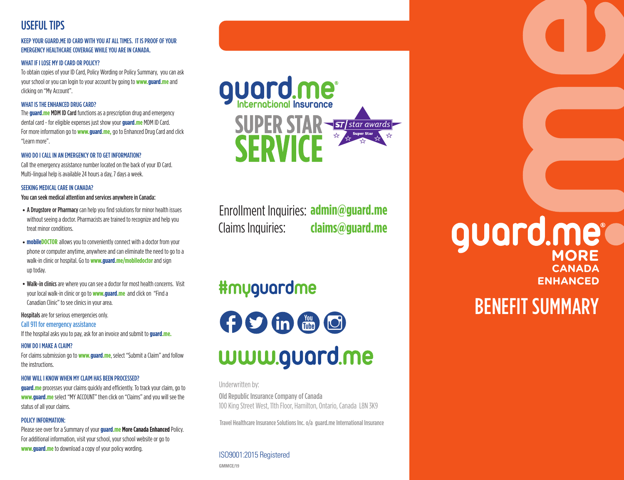### USEFUL TIPS

#### KEEP YOUR GUARD.ME ID CARD WITH YOU AT ALL TIMES. IT IS PROOF OF YOUR EMERGENCY HEALTHCARE COVERAGE WHILE YOU ARE IN CANADA.

#### WHAT IF I LOSE MY ID CARD OR POLICY?

To obtain copies of your ID Card, Policy Wording or Policy Summary, you can ask your school or you can login to your account by going to **www.guard.me** and clicking on "My Account".

#### WHAT IS THE ENHANCED DRUG CARD?

The **guard.me** MDM ID Card functions as a prescription drug and emergency dental card - for eligible expenses just show your **guard.me** MDM ID Card. For more information go to **www.guard.me,** go to Enhanced Drug Card and click "Learn more".

#### WHO DO I CALL IN AN EMERGENCY OR TO GET INFORMATION?

Call the emergency assistance number located on the back of your ID Card. Multi-lingual help is available 24 hours a day, 7 days a week.

#### SEEKING MEDICAL CARE IN CANADA?

You can seek medical attention and services anywhere in Canada:

- A Drugstore or Pharmacy can help you find solutions for minor health issues without seeing a doctor. Pharmacists are trained to recognize and help you treat minor conditions.
- **mobileDOCTOR** allows you to conveniently connect with a doctor from your phone or computer anytime, anywhere and can eliminate the need to go to a walk-in clinic or hospital. Go to **www.guard.me/mobiledoctor** and sign up today.
- Walk-in clinics are where you can see a doctor for most health concerns. Visit your local walk-in clinic or go to **www.guard.me** and click on "Find a Canadian Clinic" to see clinics in your area.

Hospitals are for serious emergencies only.

#### Call 911 for emergency assistance

If the hospital asks you to pay, ask for an invoice and submit to **guard.me.**

#### HOW DO I MAKE A CLAIM?

For claims submission go to **www.guard.me**, select "Submit a Claim" and follow the instructions.

#### HOW WILL I KNOW WHEN MY CLAIM HAS BEEN PROCESSED?

**guard.me** processes your claims quickly and efficiently. To track your claim, go to **www.guard.me** select "MY ACCOUNT" then click on "Claims" and you will see the status of all your claims.

#### POLICY INFORMATION:

Please see over for a Summary of your **guard.me More Canada Enhanced** Policy. For additional information, visit your school, your school website or go to **www.guard.me** to download a copy of your policy wording. ISO9001:2015 Registered



Enrollment Inquiries: **admin@guard.me** Claims Inquiries: **claims@guard.me**

## **#myguardme**

**ODEC** www.guard.me

Underwritten by:

Old Republic Insurance Company of Canada 100 King Street West, 11th Floor, Hamilton, Ontario, Canada L8N 3K9

Travel Healthcare Insurance Solutions Inc. o/a guard.me International Insurance

**GMMCE/19**

# **CANADA ENHANCED** guard.me<sup>e</sup>

## BENEFIT SUMMARY